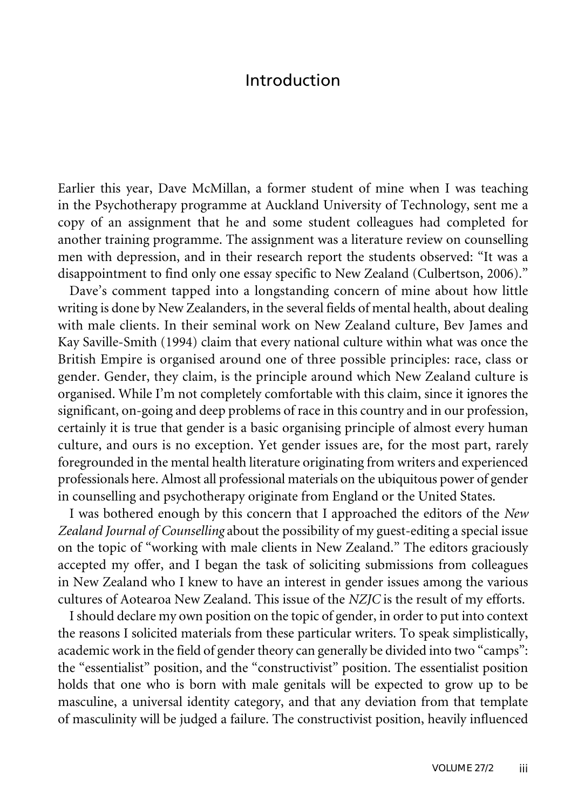## Introduction

Earlier this year, Dave McMillan, a former student of mine when I was teaching in the Psychotherapy programme at Auckland University of Technology, sent me a copy of an assignment that he and some student colleagues had completed for another training programme. The assignment was a literature review on counselling men with depression, and in their research report the students observed: "It was a disappointment to find only one essay specific to New Zealand (Culbertson, 2006)."

Dave's comment tapped into a longstanding concern of mine about how little writing is done by New Zealanders, in the several fields of mental health, about dealing with male clients. In their seminal work on New Zealand culture, Bev James and Kay Saville-Smith (1994) claim that every national culture within what was once the British Empire is organised around one of three possible principles: race, class or gender. Gender, they claim, is the principle around which New Zealand culture is organised. While I'm not completely comfortable with this claim, since it ignores the significant, on-going and deep problems of race in this country and in our profession, certainly it is true that gender is a basic organising principle of almost every human culture, and ours is no exception. Yet gender issues are, for the most part, rarely foregrounded in the mental health literature originating from writers and experienced professionals here. Almost all professional materials on the ubiquitous power of gender in counselling and psychotherapy originate from England or the United States.

I was bothered enough by this concern that I approached the editors of the *New Zealand Journal of Counselling* about the possibility of my guest-editing a special issue on the topic of "working with male clients in New Zealand." The editors graciously accepted my offer, and I began the task of soliciting submissions from colleagues in New Zealand who I knew to have an interest in gender issues among the various cultures of Aotearoa New Zealand. This issue of the *NZJC* is the result of my efforts.

I should declare my own position on the topic of gender, in order to put into context the reasons I solicited materials from these particular writers. To speak simplistically, academic work in the field of gender theory can generally be divided into two "camps": the "essentialist" position, and the "constructivist" position. The essentialist position holds that one who is born with male genitals will be expected to grow up to be masculine, a universal identity category, and that any deviation from that template of masculinity will be judged a failure. The constructivist position, heavily influenced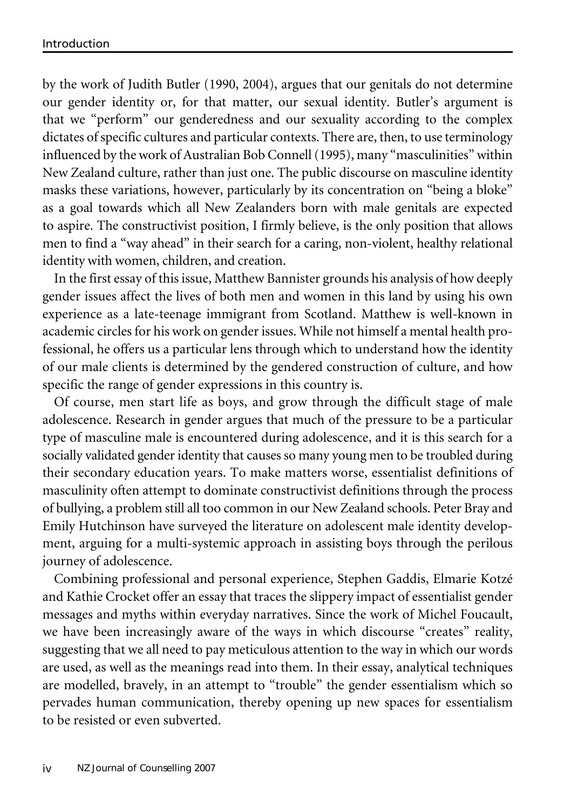by the work of Judith Butler (1990, 2004), argues that our genitals do not determine our gender identity or, for that matter, our sexual identity. Butler's argument is that we "perform" our genderedness and our sexuality according to the complex dictates of specific cultures and particular contexts. There are, then, to use terminology influenced by the work of Australian Bob Connell (1995), many "masculinities" within New Zealand culture, rather than just one. The public discourse on masculine identity masks these variations, however, particularly by its concentration on "being a bloke" as a goal towards which all New Zealanders born with male genitals are expected to aspire. The constructivist position, I firmly believe, is the only position that allows men to find a "way ahead" in their search for a caring, non-violent, healthy relational identity with women, children, and creation.

In the first essay of this issue, Matthew Bannister grounds his analysis of how deeply gender issues affect the lives of both men and women in this land by using his own experience as a late-teenage immigrant from Scotland. Matthew is well-known in academic circles for his work on gender issues. While not himself a mental health professional, he offers us a particular lens through which to understand how the identity of our male clients is determined by the gendered construction of culture, and how specific the range of gender expressions in this country is.

Of course, men start life as boys, and grow through the difficult stage of male adolescence. Research in gender argues that much of the pressure to be a particular type of masculine male is encountered during adolescence, and it is this search for a socially validated gender identity that causes so many young men to be troubled during their secondary education years. To make matters worse, essentialist definitions of masculinity often attempt to dominate constructivist definitions through the process of bullying, a problem still all too common in our New Zealand schools. Peter Bray and Emily Hutchinson have surveyed the literature on adolescent male identity development, arguing for a multi-systemic approach in assisting boys through the perilous journey of adolescence.

Combining professional and personal experience, Stephen Gaddis, Elmarie Kotzé and Kathie Crocket offer an essay that traces the slippery impact of essentialist gender messages and myths within everyday narratives. Since the work of Michel Foucault, we have been increasingly aware of the ways in which discourse "creates" reality, suggesting that we all need to pay meticulous attention to the way in which our words are used, as well as the meanings read into them. In their essay, analytical techniques are modelled, bravely, in an attempt to "trouble" the gender essentialism which so pervades human communication, thereby opening up new spaces for essentialism to be resisted or even subverted.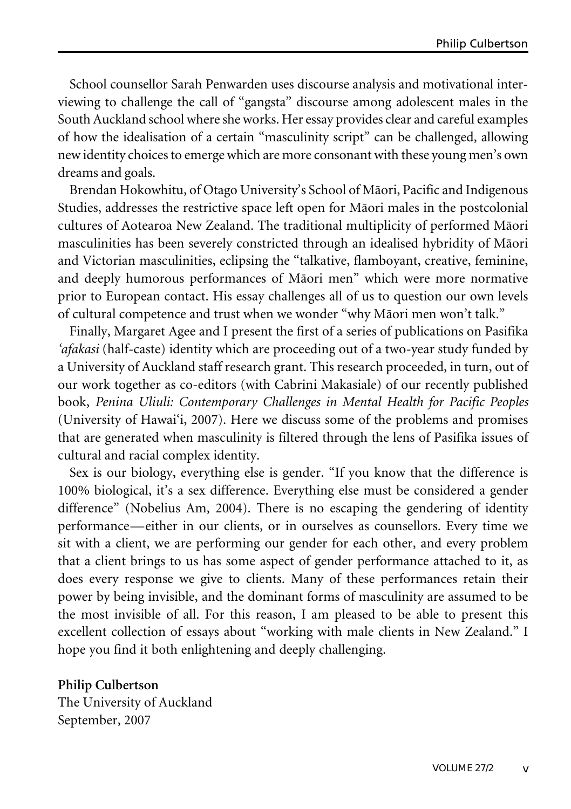School counsellor Sarah Penwarden uses discourse analysis and motivational interviewing to challenge the call of "gangsta" discourse among adolescent males in the South Auckland school where she works. Her essay provides clear and careful examples of how the idealisation of a certain "masculinity script" can be challenged, allowing new identity choices to emerge which are more consonant with these young men's own dreams and goals.

Brendan Hokowhitu, of Otago University's School of Mäori, Pacific and Indigenous Studies, addresses the restrictive space left open for Mäori males in the postcolonial cultures of Aotearoa New Zealand. The traditional multiplicity of performed Mäori masculinities has been severely constricted through an idealised hybridity of Mäori and Victorian masculinities, eclipsing the "talkative, flamboyant, creative, feminine, and deeply humorous performances of Mäori men" which were more normative prior to European contact. His essay challenges all of us to question our own levels of cultural competence and trust when we wonder "why Mäori men won't talk."

Finally, Margaret Agee and I present the first of a series of publications on Pasifika *'afakasi* (half-caste) identity which are proceeding out of a two-year study funded by a University of Auckland staff research grant. This research proceeded, in turn, out of our work together as co-editors (with Cabrini Makasiale) of our recently published book, *Penina Uliuli: Contemporary Challenges in Mental Health for Pacific Peoples* (University of Hawai'i, 2007). Here we discuss some of the problems and promises that are generated when masculinity is filtered through the lens of Pasifika issues of cultural and racial complex identity.

Sex is our biology, everything else is gender. "If you know that the difference is 100% biological, it's a sex difference. Everything else must be considered a gender difference" (Nobelius Am, 2004). There is no escaping the gendering of identity performance—either in our clients, or in ourselves as counsellors. Every time we sit with a client, we are performing our gender for each other, and every problem that a client brings to us has some aspect of gender performance attached to it, as does every response we give to clients. Many of these performances retain their power by being invisible, and the dominant forms of masculinity are assumed to be the most invisible of all. For this reason, I am pleased to be able to present this excellent collection of essays about "working with male clients in New Zealand." I hope you find it both enlightening and deeply challenging.

**Philip Culbertson** The University of Auckland September, 2007